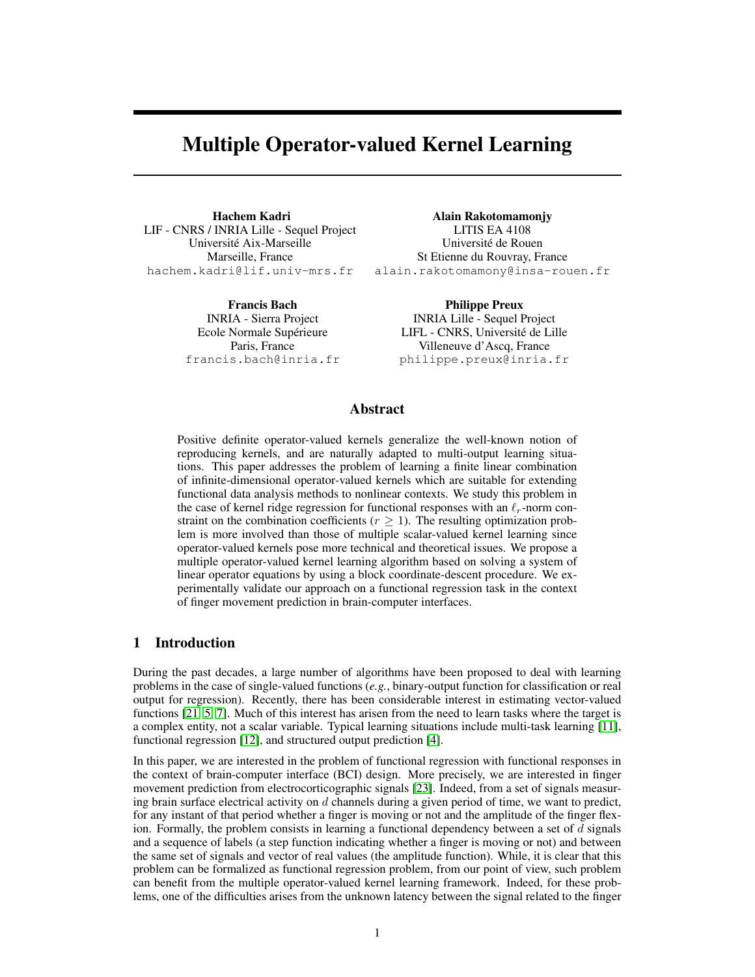# Multiple Operator-valued Kernel Learning

Hachem Kadri LIF - CNRS / INRIA Lille - Sequel Project Universite Aix-Marseille ´ Marseille, France hachem.kadri@lif.univ-mrs.fr

> Francis Bach INRIA - Sierra Project Ecole Normale Supérieure Paris, France francis.bach@inria.fr

Alain Rakotomamonjy LITIS EA 4108 Universite de Rouen ´ St Etienne du Rouvray, France alain.rakotomamony@insa-rouen.fr

> Philippe Preux INRIA Lille - Sequel Project LIFL - CNRS, Université de Lille Villeneuve d'Ascq, France philippe.preux@inria.fr

## Abstract

Positive definite operator-valued kernels generalize the well-known notion of reproducing kernels, and are naturally adapted to multi-output learning situations. This paper addresses the problem of learning a finite linear combination of infinite-dimensional operator-valued kernels which are suitable for extending functional data analysis methods to nonlinear contexts. We study this problem in the case of kernel ridge regression for functional responses with an  $\ell_r$ -norm constraint on the combination coefficients ( $r \geq 1$ ). The resulting optimization problem is more involved than those of multiple scalar-valued kernel learning since operator-valued kernels pose more technical and theoretical issues. We propose a multiple operator-valued kernel learning algorithm based on solving a system of linear operator equations by using a block coordinate-descent procedure. We experimentally validate our approach on a functional regression task in the context of finger movement prediction in brain-computer interfaces.

## 1 Introduction

During the past decades, a large number of algorithms have been proposed to deal with learning problems in the case of single-valued functions (*e.g.*, binary-output function for classification or real output for regression). Recently, there has been considerable interest in estimating vector-valued functions [21, 5, 7]. Much of this interest has arisen from the need to learn tasks where the target is a complex entity, not a scalar variable. Typical learning situations include multi-task learning [11], functional regression [12], and structured output prediction [4].

In this paper, we are interested in the problem of functional regression with functional responses in the context of brain-computer interface (BCI) design. More precisely, we are interested in finger movement prediction from electrocorticographic signals [23]. Indeed, from a set of signals measuring brain surface electrical activity on  $d$  channels during a given period of time, we want to predict, for any instant of that period whether a finger is moving or not and the amplitude of the finger flexion. Formally, the problem consists in learning a functional dependency between a set of  $d$  signals and a sequence of labels (a step function indicating whether a finger is moving or not) and between the same set of signals and vector of real values (the amplitude function). While, it is clear that this problem can be formalized as functional regression problem, from our point of view, such problem can benefit from the multiple operator-valued kernel learning framework. Indeed, for these problems, one of the difficulties arises from the unknown latency between the signal related to the finger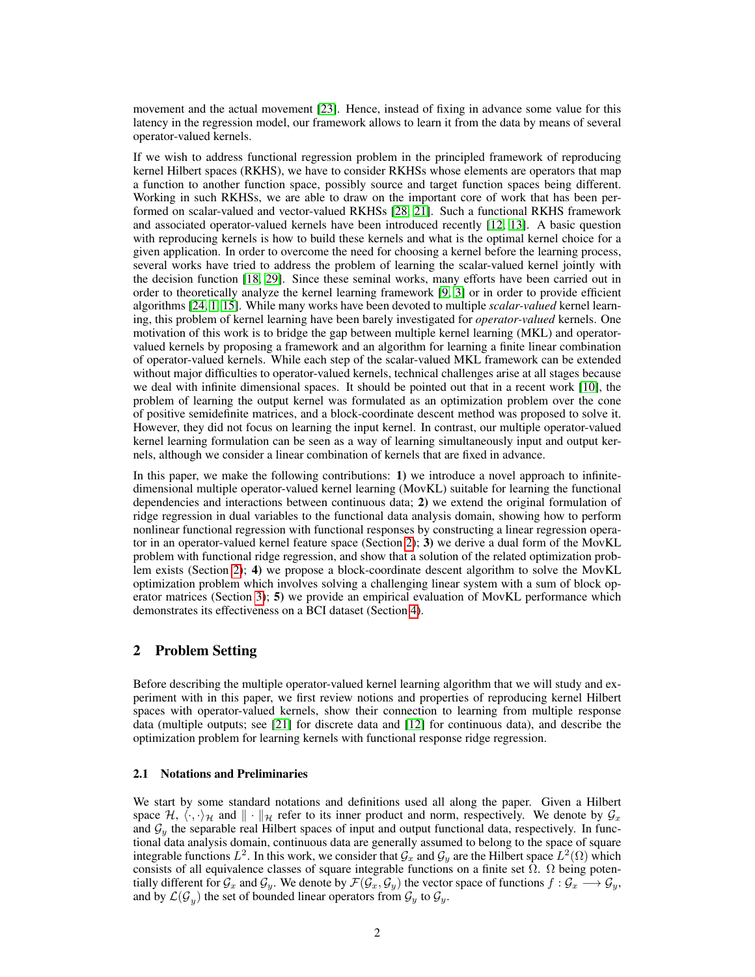movement and the actual movement [23]. Hence, instead of fixing in advance some value for this latency in the regression model, our framework allows to learn it from the data by means of several operator-valued kernels.

If we wish to address functional regression problem in the principled framework of reproducing kernel Hilbert spaces (RKHS), we have to consider RKHSs whose elements are operators that map a function to another function space, possibly source and target function spaces being different. Working in such RKHSs, we are able to draw on the important core of work that has been performed on scalar-valued and vector-valued RKHSs [28, 21]. Such a functional RKHS framework and associated operator-valued kernels have been introduced recently [12, 13]. A basic question with reproducing kernels is how to build these kernels and what is the optimal kernel choice for a given application. In order to overcome the need for choosing a kernel before the learning process, several works have tried to address the problem of learning the scalar-valued kernel jointly with the decision function [18, 29]. Since these seminal works, many efforts have been carried out in order to theoretically analyze the kernel learning framework [9, 3] or in order to provide efficient algorithms [24, 1, 15]. While many works have been devoted to multiple *scalar-valued* kernel learning, this problem of kernel learning have been barely investigated for *operator-valued* kernels. One motivation of this work is to bridge the gap between multiple kernel learning (MKL) and operatorvalued kernels by proposing a framework and an algorithm for learning a finite linear combination of operator-valued kernels. While each step of the scalar-valued MKL framework can be extended without major difficulties to operator-valued kernels, technical challenges arise at all stages because we deal with infinite dimensional spaces. It should be pointed out that in a recent work [10], the problem of learning the output kernel was formulated as an optimization problem over the cone of positive semidefinite matrices, and a block-coordinate descent method was proposed to solve it. However, they did not focus on learning the input kernel. In contrast, our multiple operator-valued kernel learning formulation can be seen as a way of learning simultaneously input and output kernels, although we consider a linear combination of kernels that are fixed in advance.

In this paper, we make the following contributions: 1) we introduce a novel approach to infinitedimensional multiple operator-valued kernel learning (MovKL) suitable for learning the functional dependencies and interactions between continuous data; 2) we extend the original formulation of ridge regression in dual variables to the functional data analysis domain, showing how to perform nonlinear functional regression with functional responses by constructing a linear regression operator in an operator-valued kernel feature space (Section 2); 3) we derive a dual form of the MovKL problem with functional ridge regression, and show that a solution of the related optimization problem exists (Section 2); 4) we propose a block-coordinate descent algorithm to solve the MovKL optimization problem which involves solving a challenging linear system with a sum of block operator matrices (Section 3); 5) we provide an empirical evaluation of MovKL performance which demonstrates its effectiveness on a BCI dataset (Section 4).

# 2 Problem Setting

Before describing the multiple operator-valued kernel learning algorithm that we will study and experiment with in this paper, we first review notions and properties of reproducing kernel Hilbert spaces with operator-valued kernels, show their connection to learning from multiple response data (multiple outputs; see [21] for discrete data and [12] for continuous data), and describe the optimization problem for learning kernels with functional response ridge regression.

#### 2.1 Notations and Preliminaries

We start by some standard notations and definitions used all along the paper. Given a Hilbert space  $\mathcal{H}, \langle \cdot, \cdot \rangle_{\mathcal{H}}$  and  $\|\cdot\|_{\mathcal{H}}$  refer to its inner product and norm, respectively. We denote by  $\mathcal{G}_x$ and  $\mathcal{G}_y$  the separable real Hilbert spaces of input and output functional data, respectively. In functional data analysis domain, continuous data are generally assumed to belong to the space of square integrable functions  $L^2$ . In this work, we consider that  $\mathcal{G}_x$  and  $\mathcal{G}_y$  are the Hilbert space  $L^2(\Omega)$  which consists of all equivalence classes of square integrable functions on a finite set  $\Omega$ .  $\Omega$  being potentially different for  $\mathcal{G}_x$  and  $\mathcal{G}_y$ . We denote by  $\mathcal{F}(\mathcal{G}_x, \mathcal{G}_y)$  the vector space of functions  $f : \mathcal{G}_x \longrightarrow \mathcal{G}_y$ , and by  $\mathcal{L}(\mathcal{G}_y)$  the set of bounded linear operators from  $\mathcal{G}_y$  to  $\mathcal{G}_y$ .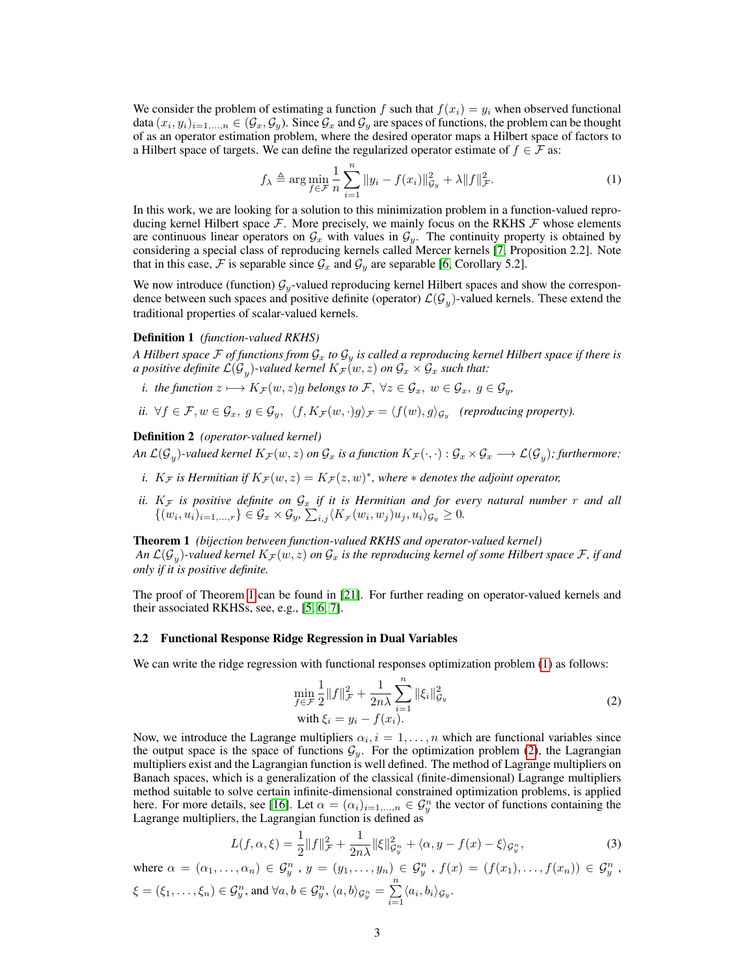We consider the problem of estimating a function f such that  $f(x_i) = y_i$  when observed functional data  $(x_i, y_i)_{i=1,...,n} \in (G_x, G_y)$ . Since  $G_x$  and  $G_y$  are spaces of functions, the problem can be thought of as an operator estimation problem, where the desired operator maps a Hilbert space of factors to a Hilbert space of targets. We can define the regularized operator estimate of  $f \in \mathcal{F}$  as:

$$
f_{\lambda} \triangleq \arg\min_{f \in \mathcal{F}} \frac{1}{n} \sum_{i=1}^{n} ||y_i - f(x_i)||_{\mathcal{G}_y}^2 + \lambda ||f||_{\mathcal{F}}^2.
$$
 (1)

In this work, we are looking for a solution to this minimization problem in a function-valued reproducing kernel Hilbert space  $\mathcal F$ . More precisely, we mainly focus on the RKHS  $\mathcal F$  whose elements are continuous linear operators on  $\mathcal{G}_x$  with values in  $\mathcal{G}_y$ . The continuity property is obtained by considering a special class of reproducing kernels called Mercer kernels [7, Proposition 2.2]. Note that in this case, F is separable since  $\mathcal{G}_x$  and  $\mathcal{G}_y$  are separable [6, Corollary 5.2].

We now introduce (function)  $\mathcal{G}_y$ -valued reproducing kernel Hilbert spaces and show the correspondence between such spaces and positive definite (operator)  $\mathcal{L}(\mathcal{G}_y)$ -valued kernels. These extend the traditional properties of scalar-valued kernels.

#### Definition 1 *(function-valued RKHS)*

*A Hilbert space*  $\mathcal F$  *of functions from*  $\mathcal G_x$  *to*  $\mathcal G_y$  *is called a reproducing kernel Hilbert space if there is a positive definite*  $\mathcal{L}(\mathcal{G}_y)$ *-valued kernel*  $K_\mathcal{F} (w,z)$  *on*  $\mathcal{G}_x \times \mathcal{G}_x$  *such that:* 

- *i. the function*  $z \mapsto K_{\mathcal{F}}(w, z)g$  *belongs to*  $\mathcal{F}, \forall z \in \mathcal{G}_x, w \in \mathcal{G}_x, g \in \mathcal{G}_y$ ,
- *ii.*  $\forall f \in \mathcal{F}, w \in \mathcal{G}_x, g \in \mathcal{G}_y, \ \ \langle f, K_{\mathcal{F}}(w, \cdot)g \rangle_{\mathcal{F}} = \langle f(w), g \rangle_{\mathcal{G}_y}$  (reproducing property).

## Definition 2 *(operator-valued kernel)*

*An L*( $G_y$ )-valued kernel  $K_\mathcal{F}(w,z)$  *on*  $\mathcal{G}_x$  is a function  $K_\mathcal{F}(\cdot,\cdot): \mathcal{G}_x\times\mathcal{G}_x\longrightarrow\mathcal{L}(\mathcal{G}_y)$ ; furthermore:

- *i.*  $K_{\mathcal{F}}$  *is Hermitian if*  $K_{\mathcal{F}}(w, z) = K_{\mathcal{F}}(z, w)^*$ , where  $*$  *denotes the adjoint operator,*
- *ii.*  $K_{\mathcal{F}}$  is positive definite on  $\mathcal{G}_x$  if it is Hermitian and for every natural number  $r$  and all  $\{(w_i, u_i)_{i=1,\dots,r}\}\in \mathcal{G}_x\times \mathcal{G}_y$ ,  $\sum_{i,j}\langle K_{\mathcal{F}}(w_i, w_j)u_j, u_i\rangle_{\mathcal{G}_y}\geq 0$ .

Theorem 1 *(bijection between function-valued RKHS and operator-valued kernel)* An  $\mathcal{L}(\mathcal{G}_y)$ -valued kernel  $K_\mathcal{F}(w,z)$  on  $\mathcal{G}_x$  is the reproducing kernel of some Hilbert space  $\mathcal{F}$ , if and *only if it is positive definite.*

The proof of Theorem 1 can be found in [21]. For further reading on operator-valued kernels and their associated RKHSs, see, e.g., [5, 6, 7].

#### 2.2 Functional Response Ridge Regression in Dual Variables

We can write the ridge regression with functional responses optimization problem (1) as follows:

$$
\min_{f \in \mathcal{F}} \frac{1}{2} ||f||_{\mathcal{F}}^2 + \frac{1}{2n\lambda} \sum_{i=1}^n ||\xi_i||_{\mathcal{G}_y}^2
$$
\n
$$
\text{with } \xi_i = y_i - f(x_i).
$$
\n(2)

Now, we introduce the Lagrange multipliers  $\alpha_i$ ,  $i = 1, \ldots, n$  which are functional variables since the output space is the space of functions  $G_y$ . For the optimization problem (2), the Lagrangian multipliers exist and the Lagrangian function is well defined. The method of Lagrange multipliers on Banach spaces, which is a generalization of the classical (finite-dimensional) Lagrange multipliers method suitable to solve certain infinite-dimensional constrained optimization problems, is applied here. For more details, see [16]. Let  $\alpha = (\alpha_i)_{i=1,...,n} \in \mathcal{G}_{y}^n$  the vector of functions containing the Lagrange multipliers, the Lagrangian function is defined as

$$
L(f, \alpha, \xi) = \frac{1}{2} ||f||_{\mathcal{F}}^2 + \frac{1}{2n\lambda} ||\xi||_{\mathcal{G}_y^n}^2 + \langle \alpha, y - f(x) - \xi \rangle_{\mathcal{G}_y^n},\tag{3}
$$

where  $\alpha = (\alpha_1, \ldots, \alpha_n) \in \mathcal{G}_y^n$ ,  $y = (y_1, \ldots, y_n) \in \mathcal{G}_y^n$ ,  $f(x) = (f(x_1), \ldots, f(x_n)) \in \mathcal{G}_y^n$ ,  $\xi = (\xi_1, \ldots, \xi_n) \in \mathcal{G}_{y}^n$ , and  $\forall a, b \in \mathcal{G}_{y}^n$ ,  $\langle a, b \rangle_{\mathcal{G}_{y}^n} = \sum_{k=1}^n \xi_k^k$  $\sum_{i=1} \langle a_i, b_i \rangle_{\mathcal{G}_y}.$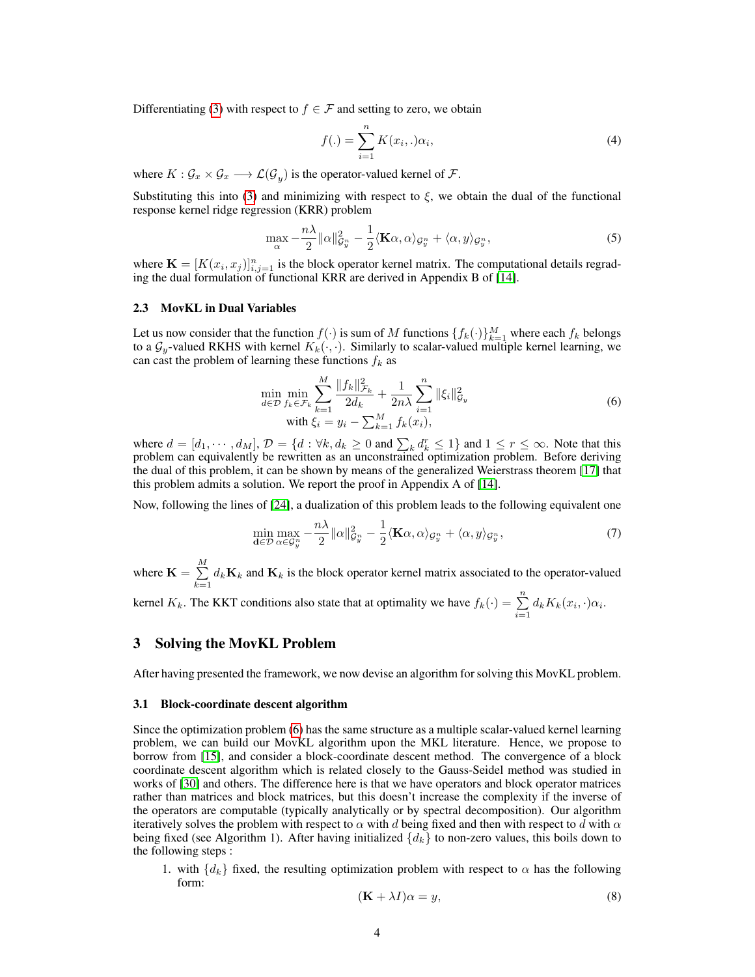Differentiating (3) with respect to  $f \in \mathcal{F}$  and setting to zero, we obtain

$$
f(.) = \sum_{i=1}^{n} K(x_i,.)\alpha_i,
$$
\n(4)

where  $K: \mathcal{G}_x \times \mathcal{G}_x \longrightarrow \mathcal{L}(\mathcal{G}_y)$  is the operator-valued kernel of  $\mathcal{F}.$ 

Substituting this into (3) and minimizing with respect to  $\xi$ , we obtain the dual of the functional response kernel ridge regression (KRR) problem

$$
\max_{\alpha} -\frac{n\lambda}{2} ||\alpha||_{\mathcal{G}_{y}^{n}}^{2} - \frac{1}{2} \langle \mathbf{K}\alpha, \alpha \rangle_{\mathcal{G}_{y}^{n}} + \langle \alpha, y \rangle_{\mathcal{G}_{y}^{n}}, \tag{5}
$$

where  $\mathbf{K} = [K(x_i, x_j)]_{i,j=1}^n$  is the block operator kernel matrix. The computational details regrading the dual formulation of functional KRR are derived in Appendix B of [14].

#### 2.3 MovKL in Dual Variables

Let us now consider that the function  $f(\cdot)$  is sum of M functions  $\{f_k(\cdot)\}_{k=1}^M$  where each  $f_k$  belongs to a  $\mathcal{G}_y$ -valued RKHS with kernel  $K_k(\cdot, \cdot)$ . Similarly to scalar-valued multiple kernel learning, we can cast the problem of learning these functions  $f_k$  as

$$
\min_{d \in \mathcal{D}} \min_{f_k \in \mathcal{F}_k} \sum_{k=1}^M \frac{\|f_k\|_{\mathcal{F}_k}^2}{2d_k} + \frac{1}{2n\lambda} \sum_{i=1}^n \|\xi_i\|_{\mathcal{G}_y}^2
$$
\n
$$
\text{with } \xi_i = y_i - \sum_{k=1}^M f_k(x_i), \tag{6}
$$

where  $d = [d_1, \dots, d_M]$ ,  $\mathcal{D} = \{d : \forall k, d_k \geq 0 \text{ and } \sum_k d_k \leq 1\}$  and  $1 \leq r \leq \infty$ . Note that this problem can equivalently be rewritten as an unconstrained optimization problem. Before deriving the dual of this problem, it can be shown by means of the generalized Weierstrass theorem [17] that this problem admits a solution. We report the proof in Appendix A of [14].

Now, following the lines of [24], a dualization of this problem leads to the following equivalent one

$$
\min_{\mathbf{d}\in\mathcal{D}}\max_{\alpha\in\mathcal{G}_y^n}-\frac{n\lambda}{2}\|\alpha\|_{\mathcal{G}_y^n}^2-\frac{1}{2}\langle\mathbf{K}\alpha,\alpha\rangle_{\mathcal{G}_y^n}+\langle\alpha,y\rangle_{\mathcal{G}_y^n},\tag{7}
$$

where  $\mathbf{K} = \sum^{M}$  $\sum_{k=1} d_k \mathbf{K}_k$  and  $\mathbf{K}_k$  is the block operator kernel matrix associated to the operator-valued

kernel  $K_k$ . The KKT conditions also state that at optimality we have  $f_k(\cdot) = \sum_{i=1}^n d_k K_k(x_i, \cdot) \alpha_i$ .

## 3 Solving the MovKL Problem

After having presented the framework, we now devise an algorithm for solving this MovKL problem.

#### 3.1 Block-coordinate descent algorithm

Since the optimization problem (6) has the same structure as a multiple scalar-valued kernel learning problem, we can build our MovKL algorithm upon the MKL literature. Hence, we propose to borrow from [15], and consider a block-coordinate descent method. The convergence of a block coordinate descent algorithm which is related closely to the Gauss-Seidel method was studied in works of [30] and others. The difference here is that we have operators and block operator matrices rather than matrices and block matrices, but this doesn't increase the complexity if the inverse of the operators are computable (typically analytically or by spectral decomposition). Our algorithm iteratively solves the problem with respect to  $\alpha$  with d being fixed and then with respect to d with  $\alpha$ being fixed (see Algorithm 1). After having initialized  $\{d_k\}$  to non-zero values, this boils down to the following steps :

1. with  $\{d_k\}$  fixed, the resulting optimization problem with respect to  $\alpha$  has the following form:

$$
(\mathbf{K} + \lambda I)\alpha = y,\tag{8}
$$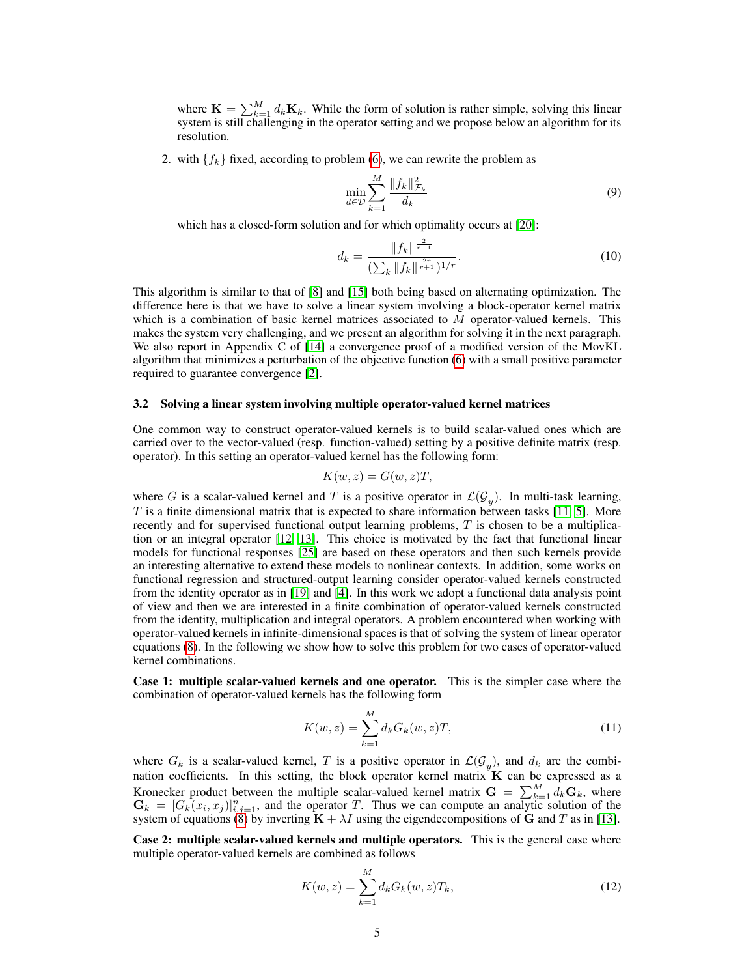where  $\mathbf{K} = \sum_{k=1}^{M} d_k \mathbf{K}_k$ . While the form of solution is rather simple, solving this linear system is still challenging in the operator setting and we propose below an algorithm for its resolution.

2. with  $\{f_k\}$  fixed, according to problem (6), we can rewrite the problem as

$$
\min_{d \in \mathcal{D}} \sum_{k=1}^{M} \frac{\|f_k\|_{\mathcal{F}_k}^2}{d_k} \tag{9}
$$

which has a closed-form solution and for which optimality occurs at [20]:

$$
d_k = \frac{\|f_k\|^{\frac{2}{r+1}}}{\left(\sum_k \|f_k\|^{\frac{2r}{r+1}}\right)^{1/r}}.\tag{10}
$$

This algorithm is similar to that of [8] and [15] both being based on alternating optimization. The difference here is that we have to solve a linear system involving a block-operator kernel matrix which is a combination of basic kernel matrices associated to  $M$  operator-valued kernels. This makes the system very challenging, and we present an algorithm for solving it in the next paragraph. We also report in Appendix C of [14] a convergence proof of a modified version of the MovKL algorithm that minimizes a perturbation of the objective function (6) with a small positive parameter required to guarantee convergence [2].

#### 3.2 Solving a linear system involving multiple operator-valued kernel matrices

One common way to construct operator-valued kernels is to build scalar-valued ones which are carried over to the vector-valued (resp. function-valued) setting by a positive definite matrix (resp. operator). In this setting an operator-valued kernel has the following form:

$$
K(w, z) = G(w, z)T,
$$

where G is a scalar-valued kernel and T is a positive operator in  $\mathcal{L}(\mathcal{G}_y)$ . In multi-task learning, T is a finite dimensional matrix that is expected to share information between tasks [11, 5]. More recently and for supervised functional output learning problems, T is chosen to be a multiplication or an integral operator [12, 13]. This choice is motivated by the fact that functional linear models for functional responses [25] are based on these operators and then such kernels provide an interesting alternative to extend these models to nonlinear contexts. In addition, some works on functional regression and structured-output learning consider operator-valued kernels constructed from the identity operator as in [19] and [4]. In this work we adopt a functional data analysis point of view and then we are interested in a finite combination of operator-valued kernels constructed from the identity, multiplication and integral operators. A problem encountered when working with operator-valued kernels in infinite-dimensional spaces is that of solving the system of linear operator equations (8). In the following we show how to solve this problem for two cases of operator-valued kernel combinations.

Case 1: multiple scalar-valued kernels and one operator. This is the simpler case where the combination of operator-valued kernels has the following form

$$
K(w, z) = \sum_{k=1}^{M} d_k G_k(w, z) T,
$$
\n(11)

where  $G_k$  is a scalar-valued kernel, T is a positive operator in  $\mathcal{L}(\mathcal{G}_y)$ , and  $d_k$  are the combination coefficients. In this setting, the block operator kernel matrix  $K$  can be expressed as a Kronecker product between the multiple scalar-valued kernel matrix  $\mathbf{G} = \sum_{k=1}^{M} d_k \mathbf{G}_k$ , where  $\mathbf{G}_k = [G_k(x_i, x_j)]_{i,j=1}^n$ , and the operator T. Thus we can compute an analytic solution of the system of equations (8) by inverting  $\mathbf{K} + \lambda I$  using the eigendecompositions of G and T as in [13].

Case 2: multiple scalar-valued kernels and multiple operators. This is the general case where multiple operator-valued kernels are combined as follows

$$
K(w, z) = \sum_{k=1}^{M} d_k G_k(w, z) T_k,
$$
\n(12)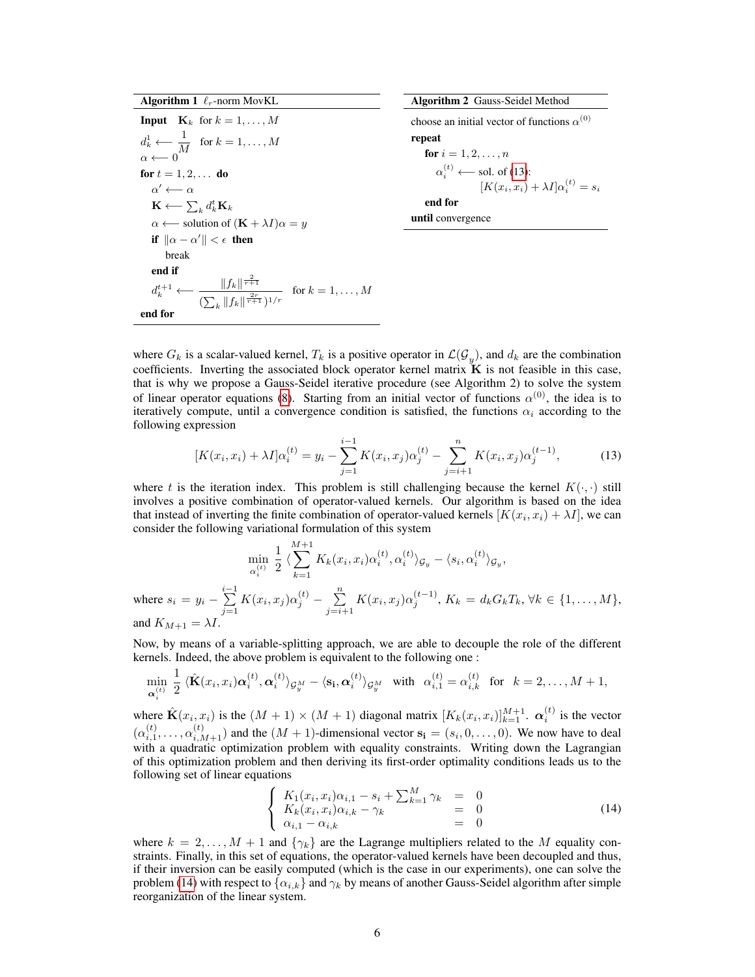Algorithm 1  $\ell_r$ -norm MovKL

**Input**  $\mathbf{K}_k$  for  $k = 1, \dots, M$  $d_k^1 \longleftarrow \frac{1}{\sqrt{k}}$  $\frac{1}{M}$  for  $k = 1, \ldots, M$  $\alpha \longleftarrow 0$ for  $t=1,2,\ldots\,$  do  $\alpha' \longleftarrow \alpha$  $\mathbf{K} \longleftarrow \sum_k d_k^t \mathbf{K}_k$  $\alpha \longleftarrow$  solution of  $(K + \lambda I)\alpha = y$ if  $\|\alpha - \alpha'\| < \epsilon$  then break end if  $d_k^{t+1} \longleftarrow \frac{\|f_k\|^{\frac{2}{r+1}}}{\left(\sum_{k=1}^{\infty} \frac{\|f_k\|^{\frac{2}{r+1}}}{\|x_k\|^{\frac{2r}{r+1}}}\right)}$  $\frac{||Jk||}{(\sum_{k} ||f_k||^{\frac{2r}{r+1}})^{1/r}}$  for  $k = 1, ..., M$ end for

Algorithm 2 Gauss-Seidel Method

choose an initial vector of functions  $\alpha^{(0)}$ repeat for  $i = 1, 2, ..., n$  $\alpha_i^{(t)} \longleftarrow$  sol. of (13):  $[K(x_i, x_i) + \lambda I] \alpha_i^{(t)} = s_i$ end for

until convergence

where  $G_k$  is a scalar-valued kernel,  $T_k$  is a positive operator in  $\mathcal{L}(\mathcal{G}_y)$ , and  $d_k$  are the combination coefficients. Inverting the associated block operator kernel matrix  $\mathbf{\tilde{K}}$  is not feasible in this case, that is why we propose a Gauss-Seidel iterative procedure (see Algorithm 2) to solve the system of linear operator equations (8). Starting from an initial vector of functions  $\alpha^{(0)}$ , the idea is to iteratively compute, until a convergence condition is satisfied, the functions  $\alpha_i$  according to the following expression

$$
[K(x_i, x_i) + \lambda I] \alpha_i^{(t)} = y_i - \sum_{j=1}^{i-1} K(x_i, x_j) \alpha_j^{(t)} - \sum_{j=i+1}^n K(x_i, x_j) \alpha_j^{(t-1)},
$$
(13)

where t is the iteration index. This problem is still challenging because the kernel  $K(\cdot, \cdot)$  still involves a positive combination of operator-valued kernels. Our algorithm is based on the idea that instead of inverting the finite combination of operator-valued kernels  $[K(x_i, x_i) + \lambda I]$ , we can consider the following variational formulation of this system

$$
\min_{\alpha_i^{(t)}} \frac{1}{2} \langle \sum_{k=1}^{M+1} K_k(x_i, x_i) \alpha_i^{(t)}, \alpha_i^{(t)} \rangle_{\mathcal{G}_y} - \langle s_i, \alpha_i^{(t)} \rangle_{\mathcal{G}_y},
$$
\nwhere  $s_i = y_i - \sum_{j=1}^{i-1} K(x_i, x_j) \alpha_j^{(t)} - \sum_{j=i+1}^{n} K(x_i, x_j) \alpha_j^{(t-1)}, K_k = d_k G_k T_k, \forall k \in \{1, ..., M\},$   
\nand  $K_{M+1} = \lambda I$ .

Now, by means of a variable-splitting approach, we are able to decouple the role of the different kernels. Indeed, the above problem is equivalent to the following one :

$$
\min_{\mathbf{\alpha}_i^{(t)}} \frac{1}{2} \langle \hat{\mathbf{K}}(x_i, x_i) \mathbf{\alpha}_i^{(t)}, \mathbf{\alpha}_i^{(t)} \rangle_{\mathcal{G}_y^M} - \langle \mathbf{s}_i, \mathbf{\alpha}_i^{(t)} \rangle_{\mathcal{G}_y^M} \quad \text{with} \quad \alpha_{i,1}^{(t)} = \alpha_{i,k}^{(t)} \quad \text{for} \quad k = 2, \dots, M+1,
$$

where  $\hat{\mathbf{K}}(x_i, x_i)$  is the  $(M + 1) \times (M + 1)$  diagonal matrix  $[K_k(x_i, x_i)]_{k=1}^{M+1}$ .  $\alpha_i^{(t)}$  is the vector  $(\alpha_{i,1}^{(t)},\ldots,\alpha_{i,M+1}^{(t)})$  and the  $(M+1)$ -dimensional vector  $s_i = (s_i,0,\ldots,0)$ . We now have to deal with a quadratic optimization problem with equality constraints. Writing down the Lagrangian of this optimization problem and then deriving its first-order optimality conditions leads us to the following set of linear equations

$$
\begin{cases}\nK_1(x_i, x_i)\alpha_{i,1} - s_i + \sum_{k=1}^M \gamma_k = 0 \\
K_k(x_i, x_i)\alpha_{i,k} - \gamma_k = 0 \\
\alpha_{i,1} - \alpha_{i,k} = 0\n\end{cases}
$$
\n(14)

where  $k = 2, \ldots, M + 1$  and  $\{\gamma_k\}$  are the Lagrange multipliers related to the M equality constraints. Finally, in this set of equations, the operator-valued kernels have been decoupled and thus, if their inversion can be easily computed (which is the case in our experiments), one can solve the problem (14) with respect to  $\{\alpha_{i,k}\}$  and  $\gamma_k$  by means of another Gauss-Seidel algorithm after simple reorganization of the linear system.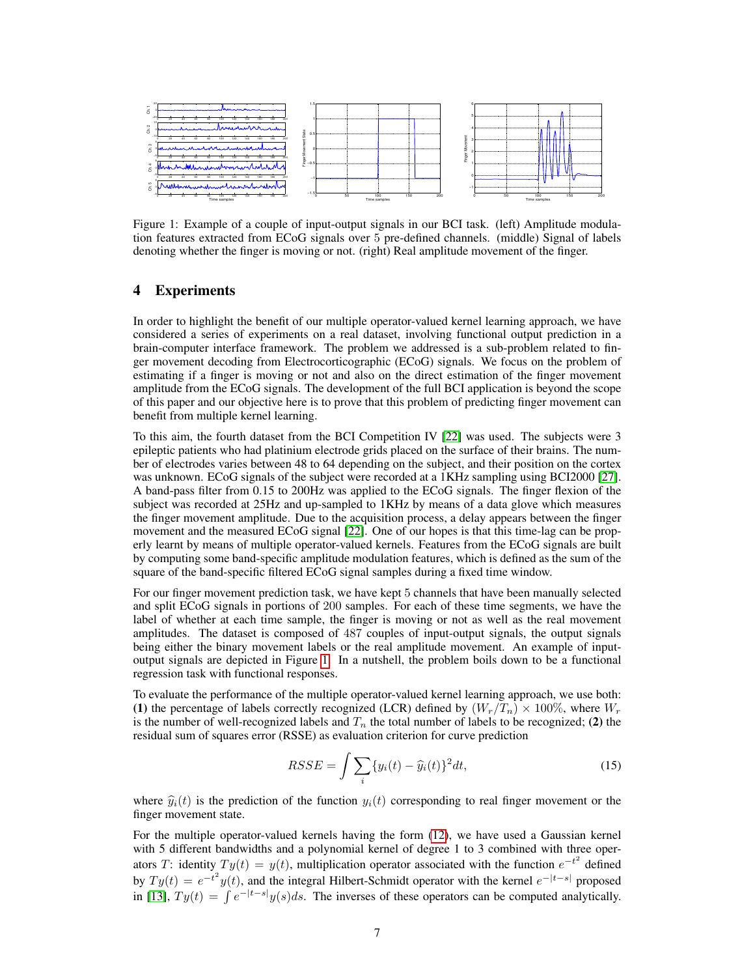

Figure 1: Example of a couple of input-output signals in our BCI task. (left) Amplitude modulation features extracted from ECoG signals over 5 pre-defined channels. (middle) Signal of labels denoting whether the finger is moving or not. (right) Real amplitude movement of the finger.

## 4 Experiments

In order to highlight the benefit of our multiple operator-valued kernel learning approach, we have considered a series of experiments on a real dataset, involving functional output prediction in a brain-computer interface framework. The problem we addressed is a sub-problem related to finger movement decoding from Electrocorticographic (ECoG) signals. We focus on the problem of estimating if a finger is moving or not and also on the direct estimation of the finger movement amplitude from the ECoG signals. The development of the full BCI application is beyond the scope of this paper and our objective here is to prove that this problem of predicting finger movement can benefit from multiple kernel learning.

To this aim, the fourth dataset from the BCI Competition IV [22] was used. The subjects were 3 epileptic patients who had platinium electrode grids placed on the surface of their brains. The number of electrodes varies between 48 to 64 depending on the subject, and their position on the cortex was unknown. ECoG signals of the subject were recorded at a 1KHz sampling using BCI2000 [27]. A band-pass filter from 0.15 to 200Hz was applied to the ECoG signals. The finger flexion of the subject was recorded at 25Hz and up-sampled to 1KHz by means of a data glove which measures the finger movement amplitude. Due to the acquisition process, a delay appears between the finger movement and the measured ECoG signal [22]. One of our hopes is that this time-lag can be properly learnt by means of multiple operator-valued kernels. Features from the ECoG signals are built by computing some band-specific amplitude modulation features, which is defined as the sum of the square of the band-specific filtered ECoG signal samples during a fixed time window.

For our finger movement prediction task, we have kept 5 channels that have been manually selected and split ECoG signals in portions of 200 samples. For each of these time segments, we have the label of whether at each time sample, the finger is moving or not as well as the real movement amplitudes. The dataset is composed of 487 couples of input-output signals, the output signals being either the binary movement labels or the real amplitude movement. An example of inputoutput signals are depicted in Figure 1. In a nutshell, the problem boils down to be a functional regression task with functional responses.

To evaluate the performance of the multiple operator-valued kernel learning approach, we use both: (1) the percentage of labels correctly recognized (LCR) defined by  $(W_r/T_n) \times 100\%$ , where  $W_r$ is the number of well-recognized labels and  $T_n$  the total number of labels to be recognized; (2) the residual sum of squares error (RSSE) as evaluation criterion for curve prediction

$$
RSSE = \int \sum_{i} \{y_i(t) - \widehat{y}_i(t)\}^2 dt,
$$
\n(15)

where  $\hat{y}_i(t)$  is the prediction of the function  $y_i(t)$  corresponding to real finger movement or the finger movement state.

For the multiple operator-valued kernels having the form (12), we have used a Gaussian kernel with 5 different bandwidths and a polynomial kernel of degree 1 to 3 combined with three operators T: identity  $Ty(t) = y(t)$ , multiplication operator associated with the function  $e^{-t^2}$  defined by  $Ty(t) = e^{-t^2}y(t)$ , and the integral Hilbert-Schmidt operator with the kernel  $e^{-|t-s|}$  proposed in [13],  $Ty(t) = \int e^{-|t-s|} y(s) ds$ . The inverses of these operators can be computed analytically.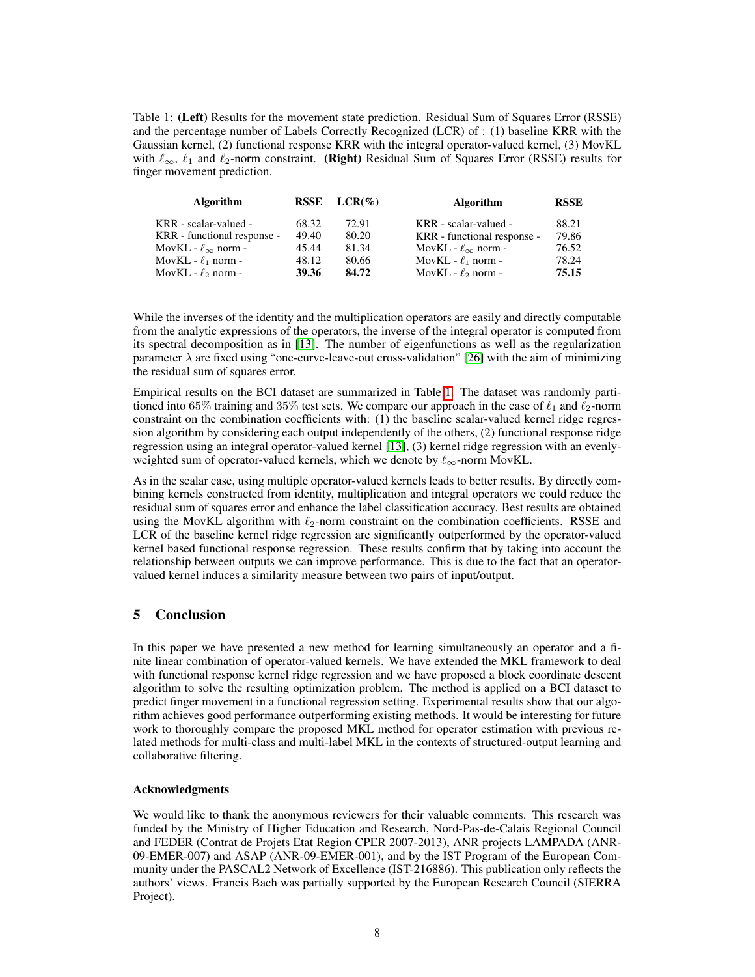Table 1: (Left) Results for the movement state prediction. Residual Sum of Squares Error (RSSE) and the percentage number of Labels Correctly Recognized (LCR) of : (1) baseline KRR with the Gaussian kernel, (2) functional response KRR with the integral operator-valued kernel, (3) MovKL with  $\ell_{\infty}$ ,  $\ell_1$  and  $\ell_2$ -norm constraint. (Right) Residual Sum of Squares Error (RSSE) results for finger movement prediction.

| <b>Algorithm</b>               | <b>RSSE</b> | $LCR(\%)$ | <b>Algorithm</b>               | <b>RSSE</b> |
|--------------------------------|-------------|-----------|--------------------------------|-------------|
| KRR - scalar-valued -          | 68.32       | 72.91     | KRR - scalar-valued -          | 88.21       |
| KRR - functional response -    | 49.40       | 80.20     | KRR - functional response -    | 79.86       |
| MovKL - $\ell_{\infty}$ norm - | 45.44       | 81.34     | MovKL - $\ell_{\infty}$ norm - | 76.52       |
| MovKL - $\ell_1$ norm -        | 48.12       | 80.66     | MovKL - $\ell_1$ norm -        | 78.24       |
| MovKL - $\ell_2$ norm -        | 39.36       | 84.72     | MovKL - $\ell_2$ norm -        | 75.15       |

While the inverses of the identity and the multiplication operators are easily and directly computable from the analytic expressions of the operators, the inverse of the integral operator is computed from its spectral decomposition as in [13]. The number of eigenfunctions as well as the regularization parameter  $\lambda$  are fixed using "one-curve-leave-out cross-validation" [26] with the aim of minimizing the residual sum of squares error.

Empirical results on the BCI dataset are summarized in Table 1. The dataset was randomly partitioned into 65% training and 35% test sets. We compare our approach in the case of  $\ell_1$  and  $\ell_2$ -norm constraint on the combination coefficients with: (1) the baseline scalar-valued kernel ridge regression algorithm by considering each output independently of the others, (2) functional response ridge regression using an integral operator-valued kernel [13], (3) kernel ridge regression with an evenlyweighted sum of operator-valued kernels, which we denote by  $\ell_{\infty}$ -norm MovKL.

As in the scalar case, using multiple operator-valued kernels leads to better results. By directly combining kernels constructed from identity, multiplication and integral operators we could reduce the residual sum of squares error and enhance the label classification accuracy. Best results are obtained using the MovKL algorithm with  $\ell_2$ -norm constraint on the combination coefficients. RSSE and LCR of the baseline kernel ridge regression are significantly outperformed by the operator-valued kernel based functional response regression. These results confirm that by taking into account the relationship between outputs we can improve performance. This is due to the fact that an operatorvalued kernel induces a similarity measure between two pairs of input/output.

# 5 Conclusion

In this paper we have presented a new method for learning simultaneously an operator and a finite linear combination of operator-valued kernels. We have extended the MKL framework to deal with functional response kernel ridge regression and we have proposed a block coordinate descent algorithm to solve the resulting optimization problem. The method is applied on a BCI dataset to predict finger movement in a functional regression setting. Experimental results show that our algorithm achieves good performance outperforming existing methods. It would be interesting for future work to thoroughly compare the proposed MKL method for operator estimation with previous related methods for multi-class and multi-label MKL in the contexts of structured-output learning and collaborative filtering.

## Acknowledgments

We would like to thank the anonymous reviewers for their valuable comments. This research was funded by the Ministry of Higher Education and Research, Nord-Pas-de-Calais Regional Council and FEDER (Contrat de Projets Etat Region CPER 2007-2013), ANR projects LAMPADA (ANR-09-EMER-007) and ASAP (ANR-09-EMER-001), and by the IST Program of the European Community under the PASCAL2 Network of Excellence (IST-216886). This publication only reflects the authors' views. Francis Bach was partially supported by the European Research Council (SIERRA Project).